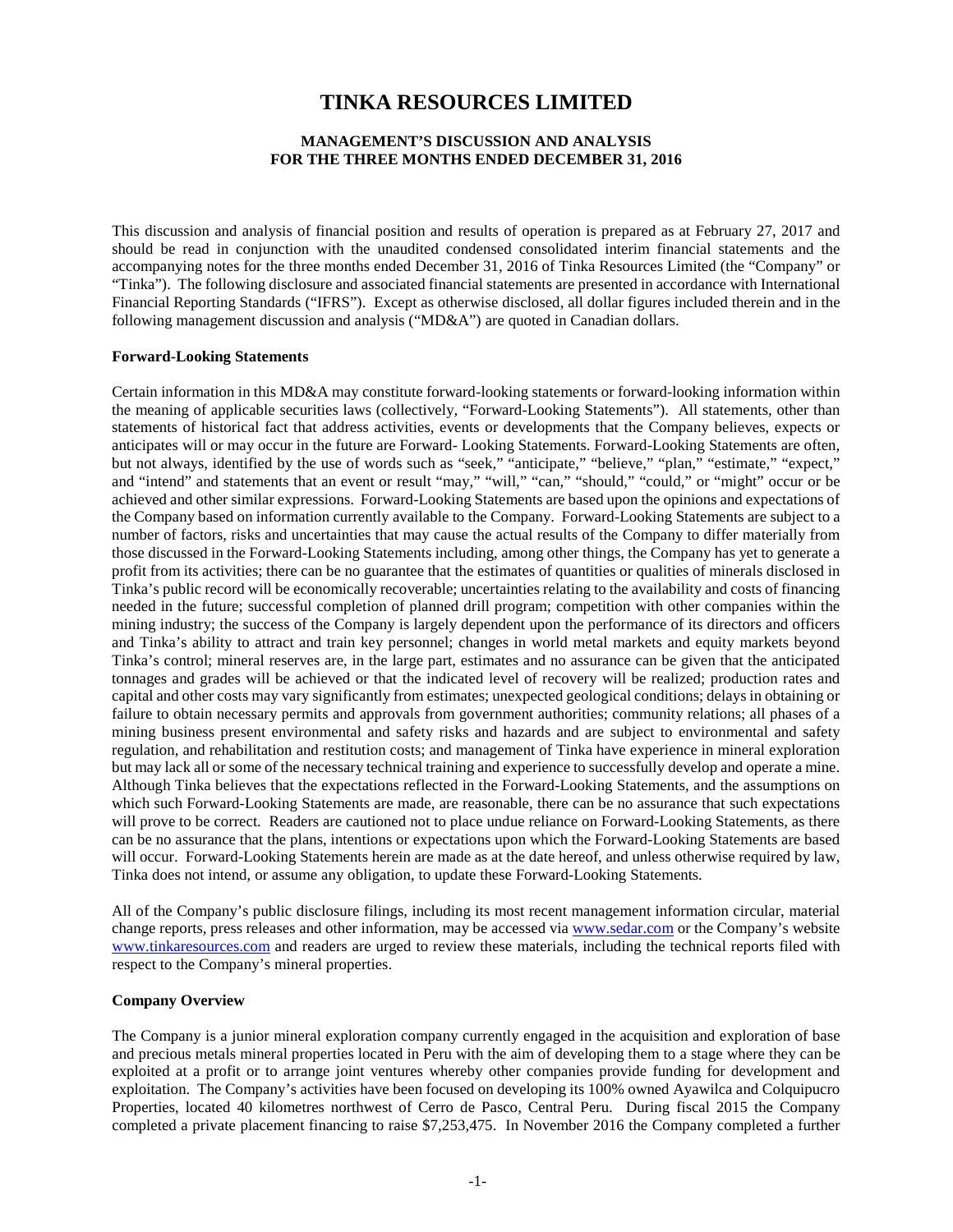# **TINKA RESOURCES LIMITED**

# **MANAGEMENT'S DISCUSSION AND ANALYSIS FOR THE THREE MONTHS ENDED DECEMBER 31, 2016**

This discussion and analysis of financial position and results of operation is prepared as at February 27, 2017 and should be read in conjunction with the unaudited condensed consolidated interim financial statements and the accompanying notes for the three months ended December 31, 2016 of Tinka Resources Limited (the "Company" or "Tinka"). The following disclosure and associated financial statements are presented in accordance with International Financial Reporting Standards ("IFRS"). Except as otherwise disclosed, all dollar figures included therein and in the following management discussion and analysis ("MD&A") are quoted in Canadian dollars.

#### **Forward-Looking Statements**

Certain information in this MD&A may constitute forward-looking statements or forward-looking information within the meaning of applicable securities laws (collectively, "Forward-Looking Statements"). All statements, other than statements of historical fact that address activities, events or developments that the Company believes, expects or anticipates will or may occur in the future are Forward- Looking Statements. Forward-Looking Statements are often, but not always, identified by the use of words such as "seek," "anticipate," "believe," "plan," "estimate," "expect," and "intend" and statements that an event or result "may," "will," "can," "should," "could," or "might" occur or be achieved and other similar expressions. Forward-Looking Statements are based upon the opinions and expectations of the Company based on information currently available to the Company. Forward-Looking Statements are subject to a number of factors, risks and uncertainties that may cause the actual results of the Company to differ materially from those discussed in the Forward-Looking Statements including, among other things, the Company has yet to generate a profit from its activities; there can be no guarantee that the estimates of quantities or qualities of minerals disclosed in Tinka's public record will be economically recoverable; uncertainties relating to the availability and costs of financing needed in the future; successful completion of planned drill program; competition with other companies within the mining industry; the success of the Company is largely dependent upon the performance of its directors and officers and Tinka's ability to attract and train key personnel; changes in world metal markets and equity markets beyond Tinka's control; mineral reserves are, in the large part, estimates and no assurance can be given that the anticipated tonnages and grades will be achieved or that the indicated level of recovery will be realized; production rates and capital and other costs may vary significantly from estimates; unexpected geological conditions; delays in obtaining or failure to obtain necessary permits and approvals from government authorities; community relations; all phases of a mining business present environmental and safety risks and hazards and are subject to environmental and safety regulation, and rehabilitation and restitution costs; and management of Tinka have experience in mineral exploration but may lack all or some of the necessary technical training and experience to successfully develop and operate a mine. Although Tinka believes that the expectations reflected in the Forward-Looking Statements, and the assumptions on which such Forward-Looking Statements are made, are reasonable, there can be no assurance that such expectations will prove to be correct. Readers are cautioned not to place undue reliance on Forward-Looking Statements, as there can be no assurance that the plans, intentions or expectations upon which the Forward-Looking Statements are based will occur. Forward-Looking Statements herein are made as at the date hereof, and unless otherwise required by law, Tinka does not intend, or assume any obligation, to update these Forward-Looking Statements.

All of the Company's public disclosure filings, including its most recent management information circular, material change reports, press releases and other information, may be accessed via [www.sedar.com](http://www.sedar.com/) or the Company's website [www.tinkaresources.com](http://www.tinkaresources.com/) and readers are urged to review these materials, including the technical reports filed with respect to the Company's mineral properties.

## **Company Overview**

The Company is a junior mineral exploration company currently engaged in the acquisition and exploration of base and precious metals mineral properties located in Peru with the aim of developing them to a stage where they can be exploited at a profit or to arrange joint ventures whereby other companies provide funding for development and exploitation. The Company's activities have been focused on developing its 100% owned Ayawilca and Colquipucro Properties, located 40 kilometres northwest of Cerro de Pasco, Central Peru. During fiscal 2015 the Company completed a private placement financing to raise \$7,253,475. In November 2016 the Company completed a further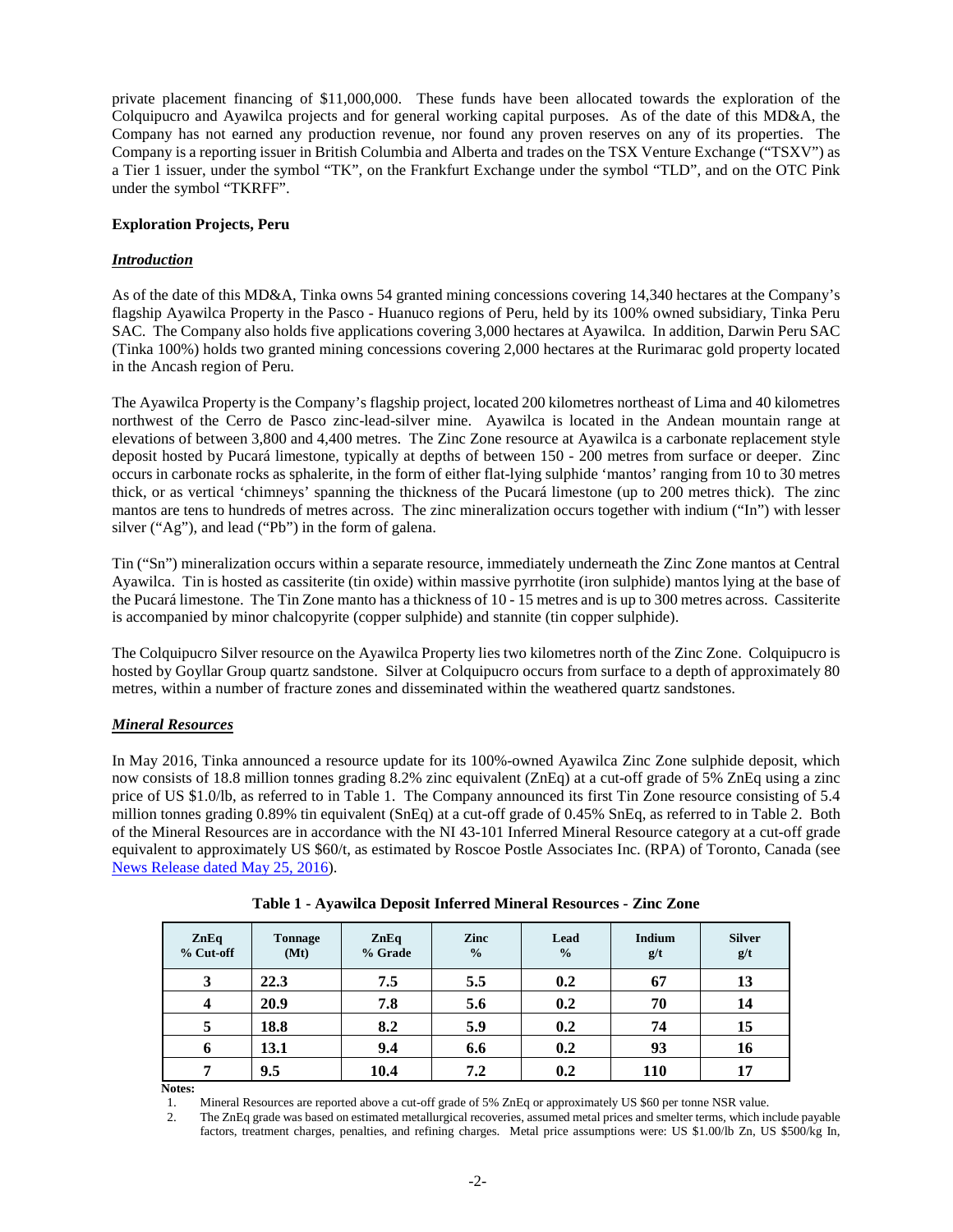private placement financing of \$11,000,000. These funds have been allocated towards the exploration of the Colquipucro and Ayawilca projects and for general working capital purposes. As of the date of this MD&A, the Company has not earned any production revenue, nor found any proven reserves on any of its properties. The Company is a reporting issuer in British Columbia and Alberta and trades on the TSX Venture Exchange ("TSXV") as a Tier 1 issuer, under the symbol "TK", on the Frankfurt Exchange under the symbol "TLD", and on the OTC Pink under the symbol "TKRFF".

# **Exploration Projects, Peru**

# *Introduction*

As of the date of this MD&A, Tinka owns 54 granted mining concessions covering 14,340 hectares at the Company's flagship Ayawilca Property in the Pasco - Huanuco regions of Peru, held by its 100% owned subsidiary, Tinka Peru SAC. The Company also holds five applications covering 3,000 hectares at Ayawilca. In addition, Darwin Peru SAC (Tinka 100%) holds two granted mining concessions covering 2,000 hectares at the Rurimarac gold property located in the Ancash region of Peru.

The Ayawilca Property is the Company's flagship project, located 200 kilometres northeast of Lima and 40 kilometres northwest of the Cerro de Pasco zinc-lead-silver mine. Ayawilca is located in the Andean mountain range at elevations of between 3,800 and 4,400 metres. The Zinc Zone resource at Ayawilca is a carbonate replacement style deposit hosted by Pucará limestone, typically at depths of between 150 - 200 metres from surface or deeper. Zinc occurs in carbonate rocks as sphalerite, in the form of either flat-lying sulphide 'mantos' ranging from 10 to 30 metres thick, or as vertical 'chimneys' spanning the thickness of the Pucará limestone (up to 200 metres thick). The zinc mantos are tens to hundreds of metres across. The zinc mineralization occurs together with indium ("In") with lesser silver ("Ag"), and lead ("Pb") in the form of galena.

Tin ("Sn") mineralization occurs within a separate resource, immediately underneath the Zinc Zone mantos at Central Ayawilca. Tin is hosted as cassiterite (tin oxide) within massive pyrrhotite (iron sulphide) mantos lying at the base of the Pucará limestone. The Tin Zone manto has a thickness of 10 - 15 metres and is up to 300 metres across. Cassiterite is accompanied by minor chalcopyrite (copper sulphide) and stannite (tin copper sulphide).

The Colquipucro Silver resource on the Ayawilca Property lies two kilometres north of the Zinc Zone. Colquipucro is hosted by Goyllar Group quartz sandstone. Silver at Colquipucro occurs from surface to a depth of approximately 80 metres, within a number of fracture zones and disseminated within the weathered quartz sandstones.

# *Mineral Resources*

In May 2016, Tinka announced a resource update for its 100%-owned Ayawilca Zinc Zone sulphide deposit, which now consists of 18.8 million tonnes grading 8.2% zinc equivalent (ZnEq) at a cut-off grade of 5% ZnEq using a zinc price of US \$1.0/lb, as referred to in Table 1. The Company announced its first Tin Zone resource consisting of 5.4 million tonnes grading 0.89% tin equivalent (SnEq) at a cut-off grade of 0.45% SnEq, as referred to in Table 2. Both of the Mineral Resources are in accordance with the NI 43-101 Inferred Mineral Resource category at a cut-off grade equivalent to approximately US \$60/t, as estimated by Roscoe Postle Associates Inc. (RPA) of Toronto, Canada (see [News Release dated May 25, 2016\)](https://www.tinkaresources.com/news/tinka-increases-inferred-mineral-resources-at-ayawilca-zinc-resource-now-18-8-million-tonnes-at-8-2-zinc-eq-initial-tin-resource-5-4-million-tonnes-at-0-89-tin-eq).

| ZnEq<br>% Cut-off       | <b>Tonnage</b><br>(Mt) | ZnEq<br>% Grade | Zinc<br>$\frac{0}{0}$ | Lead<br>$\frac{0}{0}$ | Indium<br>g/t | <b>Silver</b><br>g/t |
|-------------------------|------------------------|-----------------|-----------------------|-----------------------|---------------|----------------------|
| 3                       | 22.3                   | 7.5             | 5.5                   | 0.2                   | 67            | 13                   |
| $\overline{\mathbf{4}}$ | 20.9                   | 7.8             | 5.6                   | 0.2                   | 70            | 14                   |
| 5                       | 18.8                   | 8.2             | 5.9                   | 0.2                   | 74            | 15                   |
| 6                       | 13.1                   | 9.4             | 6.6                   | 0.2                   | 93            | 16                   |
| 7                       | 9.5                    | 10.4            | 7.2                   | 0.2                   | 110           | 17                   |

**Table 1 - Ayawilca Deposit Inferred Mineral Resources - Zinc Zone**

**Notes:**

1. Mineral Resources are reported above a cut-off grade of 5% ZnEq or approximately US \$60 per tonne NSR value.

2. The ZnEq grade was based on estimated metallurgical recoveries, assumed metal prices and smelter terms, which include payable factors, treatment charges, penalties, and refining charges. Metal price assumptions were: US \$1.00/lb Zn, US \$500/kg In,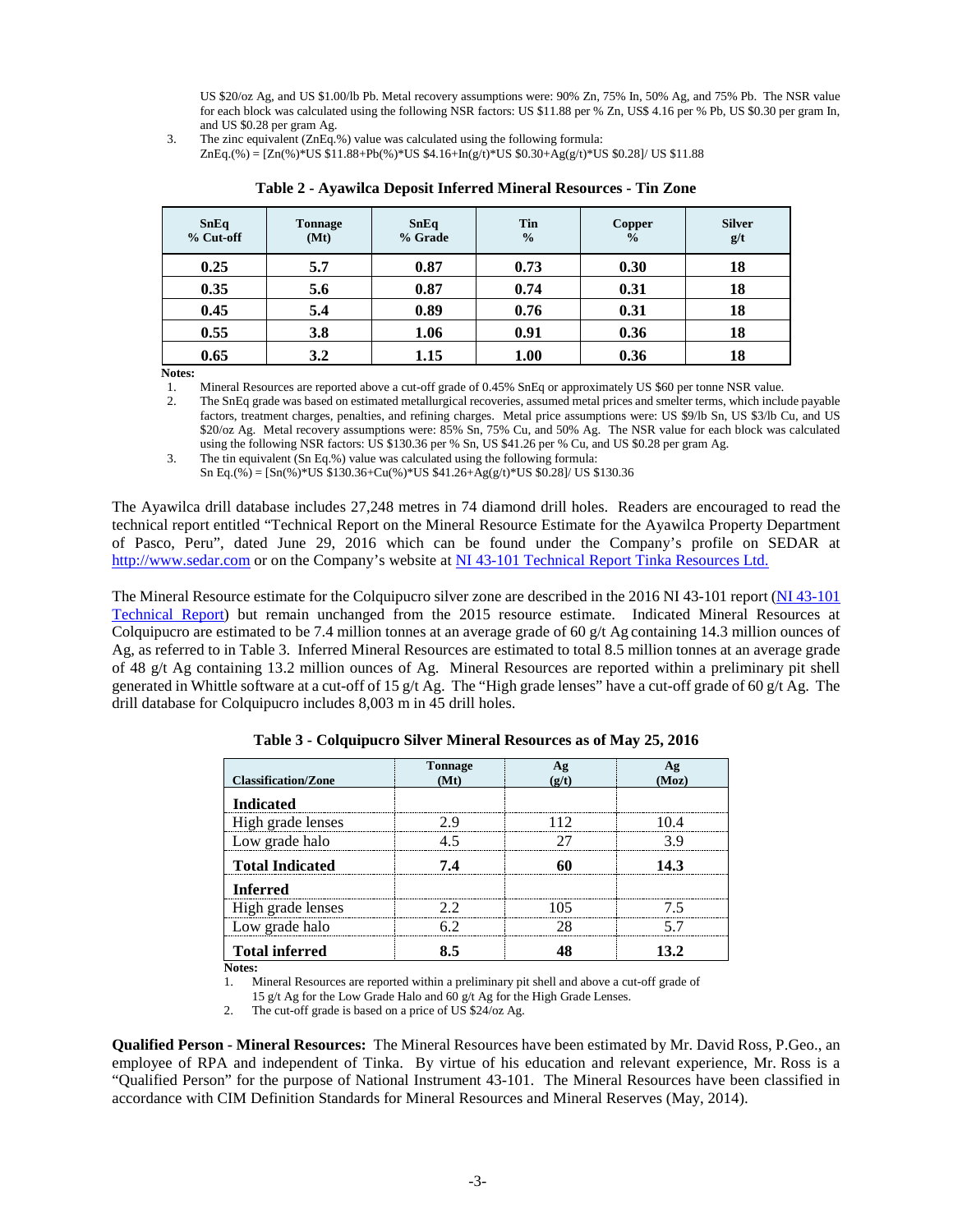US \$20/oz Ag, and US \$1.00/lb Pb. Metal recovery assumptions were: 90% Zn, 75% In, 50% Ag, and 75% Pb. The NSR value for each block was calculated using the following NSR factors: US \$11.88 per % Zn, US\$ 4.16 per % Pb, US \$0.30 per gram In, and US \$0.28 per gram Ag.

3. The zinc equivalent (ZnEq.%) value was calculated using the following formula:

ZnEq.(%) = [Zn(%)\*US \$11.88+Pb(%)\*US \$4.16+In(g/t)\*US \$0.30+Ag(g/t)\*US \$0.28]/ US \$11.88

| <b>SnEq</b><br>$%$ Cut-off | <b>Tonnage</b><br>(Mt) | SnEq<br>% Grade | <b>Tin</b><br>$\frac{0}{0}$ | Copper<br>$\frac{0}{0}$ | <b>Silver</b><br>g/t |
|----------------------------|------------------------|-----------------|-----------------------------|-------------------------|----------------------|
| 0.25                       | 5.7                    | 0.87            | 0.73                        | 0.30                    | 18                   |
| 0.35                       | 5.6                    | 0.87            | 0.74                        | 0.31                    | 18                   |
| 0.45                       | 5.4                    | 0.89            | 0.76                        | 0.31                    | 18                   |
| 0.55                       | 3.8                    | 1.06            | 0.91                        | 0.36                    | 18                   |
| 0.65                       | 3.2                    | 1.15            | 1.00                        | 0.36                    | 18                   |

|  | Table 2 - Ayawilca Deposit Inferred Mineral Resources - Tin Zone |  |
|--|------------------------------------------------------------------|--|
|--|------------------------------------------------------------------|--|

**Notes:**

1. Mineral Resources are reported above a cut-off grade of 0.45% SnEq or approximately US \$60 per tonne NSR value.

2. The SnEq grade was based on estimated metallurgical recoveries, assumed metal prices and smelter terms, which include payable factors, treatment charges, penalties, and refining charges. Metal price assumptions were: US \$9/lb Sn, US \$3/lb Cu, and US \$20/oz Ag. Metal recovery assumptions were: 85% Sn, 75% Cu, and 50% Ag. The NSR value for each block was calculated using the following NSR factors: US \$130.36 per % Sn, US \$41.26 per % Cu, and US \$0.28 per gram Ag.

3. The tin equivalent (Sn Eq.%) value was calculated using the following formula:

Sn Eq.(%) =  $[Sn(\%)*US $130.36+Cu(\%)*US $41.26+Ag(g/t)*US $0.28]/US $130.36$ 

The Ayawilca drill database includes 27,248 metres in 74 diamond drill holes. Readers are encouraged to read the technical report entitled "Technical Report on the Mineral Resource Estimate for the Ayawilca Property Department of Pasco, Peru", dated June 29, 2016 which can be found under the Company's profile on SEDAR at [http://www.sedar.com](http://www.sedar.com/) or on the Company's website at [NI 43-101 Technical Report Tinka Resources Ltd.](https://www.tinkaresources.com/projects/technical-reports)

The Mineral Resource estimate for the Colquipucro silver zone are described in the 2016 NI 43-101 report (NI 43-101 [Technical Report\)](https://www.tinkaresources.com/projects/technical-reports) but remain unchanged from the 2015 resource estimate. Indicated Mineral Resources at Colquipucro are estimated to be 7.4 million tonnes at an average grade of 60  $g/t$  Ag containing 14.3 million ounces of Ag, as referred to in Table 3. Inferred Mineral Resources are estimated to total 8.5 million tonnes at an average grade of 48 g/t Ag containing 13.2 million ounces of Ag. Mineral Resources are reported within a preliminary pit shell generated in Whittle software at a cut-off of 15 g/t Ag. The "High grade lenses" have a cut-off grade of 60 g/t Ag. The drill database for Colquipucro includes 8,003 m in 45 drill holes.

| <b>Classification/Zone</b> | <b>Tonnage</b><br>(Mt) | AΩ<br>(g/t | Ag<br>(Moz) |
|----------------------------|------------------------|------------|-------------|
| <b>Indicated</b>           |                        |            |             |
| High grade lenses          | 2 Q                    | 112        | 104         |
| Low grade halo             | 45                     |            | 39          |
| <b>Total Indicated</b>     | 7.4                    |            | 14.3        |
| <b>Inferred</b>            |                        |            |             |
| High grade lenses          | フ フ                    | 105        | 75          |
| Low grade halo             | 62                     | 28         | 57          |
| <b>Total inferred</b>      |                        |            | 13.2        |

**Table 3 - Colquipucro Silver Mineral Resources as of May 25, 2016**

**Notes:**

1. Mineral Resources are reported within a preliminary pit shell and above a cut-off grade of

15 g/t Ag for the Low Grade Halo and 60 g/t Ag for the High Grade Lenses.

2. The cut-off grade is based on a price of US \$24/oz Ag.

**Qualified Person - Mineral Resources:** The Mineral Resources have been estimated by Mr. David Ross, P.Geo., an employee of RPA and independent of Tinka. By virtue of his education and relevant experience, Mr. Ross is a "Qualified Person" for the purpose of National Instrument 43-101. The Mineral Resources have been classified in accordance with CIM Definition Standards for Mineral Resources and Mineral Reserves (May, 2014).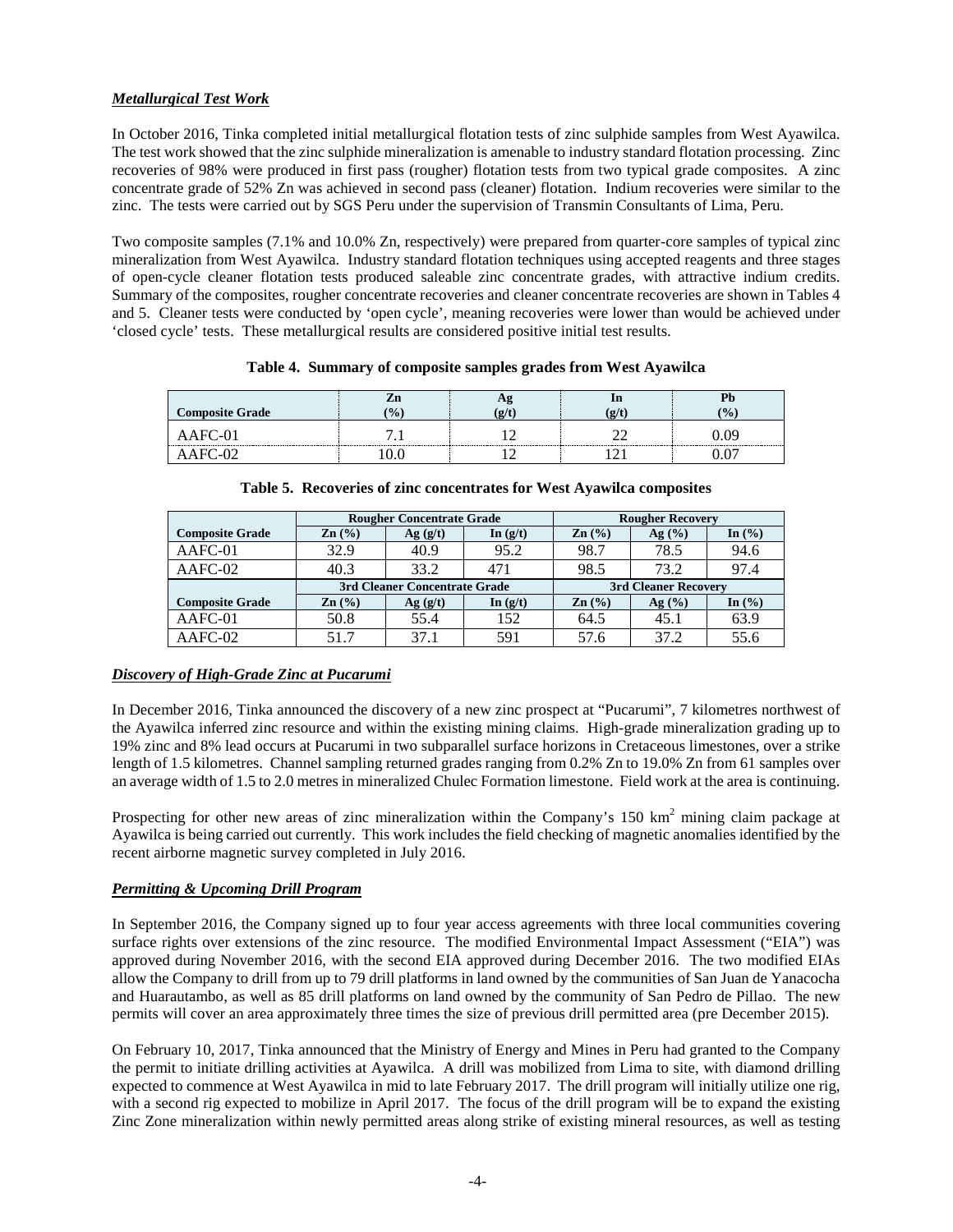# *Metallurgical Test Work*

In October 2016, Tinka completed initial metallurgical flotation tests of zinc sulphide samples from West Ayawilca. The test work showed that the zinc sulphide mineralization is amenable to industry standard flotation processing. Zinc recoveries of 98% were produced in first pass (rougher) flotation tests from two typical grade composites. A zinc concentrate grade of 52% Zn was achieved in second pass (cleaner) flotation. Indium recoveries were similar to the zinc. The tests were carried out by SGS Peru under the supervision of Transmin Consultants of Lima, Peru.

Two composite samples (7.1% and 10.0% Zn, respectively) were prepared from quarter-core samples of typical zinc mineralization from West Ayawilca. Industry standard flotation techniques using accepted reagents and three stages of open-cycle cleaner flotation tests produced saleable zinc concentrate grades, with attractive indium credits. Summary of the composites, rougher concentrate recoveries and cleaner concentrate recoveries are shown in Tables 4 and 5. Cleaner tests were conducted by 'open cycle', meaning recoveries were lower than would be achieved under 'closed cycle' tests. These metallurgical results are considered positive initial test results.

|                        | $\sim$ | ш |               |
|------------------------|--------|---|---------------|
| <b>Composite Grade</b> |        |   | $\frac{1}{2}$ |
|                        |        |   | 'уC           |
|                        |        |   |               |

|  | Table 4. Summary of composite samples grades from West Ayawilca |  |
|--|-----------------------------------------------------------------|--|
|  |                                                                 |  |

|                        |                   | <b>Rougher Concentrate Grade</b> |            | <b>Rougher Recovery</b> |        |                               |
|------------------------|-------------------|----------------------------------|------------|-------------------------|--------|-------------------------------|
| <b>Composite Grade</b> | $\mathbf{Zn}$ (%) | Ag(g/t)                          | In $(g/t)$ | $\mathbf{Zn}$ (%)       | Ag (%) | In $\left(\frac{9}{6}\right)$ |
| AAFC-01                | 32.9              | 40.9                             | 95.2       | 98.7                    | 78.5   | 94.6                          |
| $AAFC-02$              | 40.3              | 33.2                             | 471        | 98.5                    | 73.2   | 97.4                          |
|                        |                   |                                  |            | 3rd Cleaner Recovery    |        |                               |
|                        |                   | 3rd Cleaner Concentrate Grade    |            |                         |        |                               |
| <b>Composite Grade</b> | $\text{Zn}$ (%)   | Ag(g/t)                          | In $(g/t)$ | $\mathbf{Zn}$ (%)       | Ag(%)  | In $\left(\frac{9}{6}\right)$ |
| AAFC-01                | 50.8              | 55.4                             | 152        | 64.5                    | 45.1   | 63.9                          |

## **Table 5. Recoveries of zinc concentrates for West Ayawilca composites**

# *Discovery of High-Grade Zinc at Pucarumi*

In December 2016, Tinka announced the discovery of a new zinc prospect at "Pucarumi", 7 kilometres northwest of the Ayawilca inferred zinc resource and within the existing mining claims. High-grade mineralization grading up to 19% zinc and 8% lead occurs at Pucarumi in two subparallel surface horizons in Cretaceous limestones, over a strike length of 1.5 kilometres. Channel sampling returned grades ranging from 0.2% Zn to 19.0% Zn from 61 samples over an average width of 1.5 to 2.0 metres in mineralized Chulec Formation limestone. Field work at the area is continuing.

Prospecting for other new areas of zinc mineralization within the Company's 150 km<sup>2</sup> mining claim package at Ayawilca is being carried out currently. This work includes the field checking of magnetic anomalies identified by the recent airborne magnetic survey completed in July 2016.

# *Permitting & Upcoming Drill Program*

In September 2016, the Company signed up to four year access agreements with three local communities covering surface rights over extensions of the zinc resource. The modified Environmental Impact Assessment ("EIA") was approved during November 2016, with the second EIA approved during December 2016. The two modified EIAs allow the Company to drill from up to 79 drill platforms in land owned by the communities of San Juan de Yanacocha and Huarautambo, as well as 85 drill platforms on land owned by the community of San Pedro de Pillao. The new permits will cover an area approximately three times the size of previous drill permitted area (pre December 2015).

On February 10, 2017, Tinka announced that the Ministry of Energy and Mines in Peru had granted to the Company the permit to initiate drilling activities at Ayawilca. A drill was mobilized from Lima to site, with diamond drilling expected to commence at West Ayawilca in mid to late February 2017. The drill program will initially utilize one rig, with a second rig expected to mobilize in April 2017. The focus of the drill program will be to expand the existing Zinc Zone mineralization within newly permitted areas along strike of existing mineral resources, as well as testing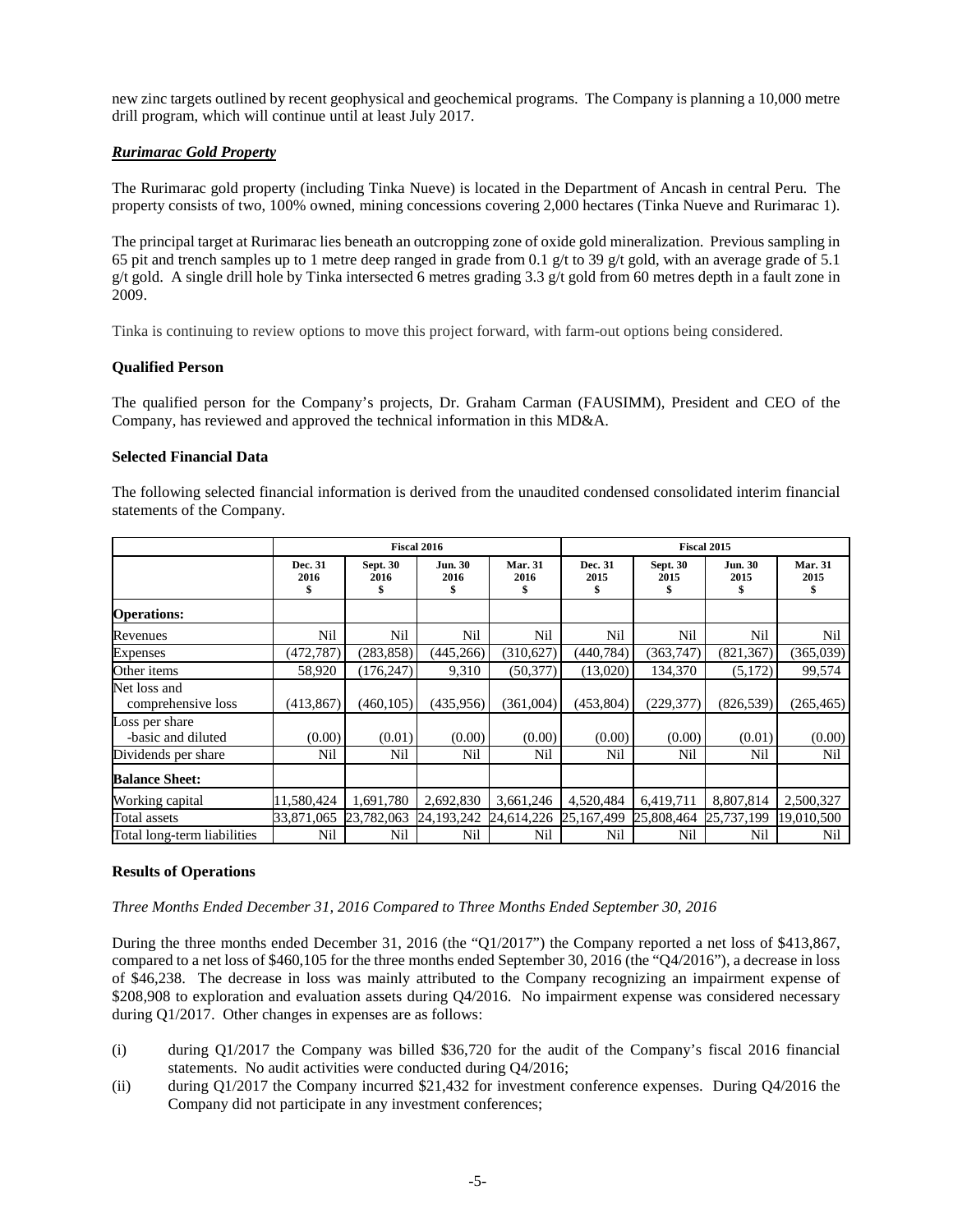new zinc targets outlined by recent geophysical and geochemical programs. The Company is planning a 10,000 metre drill program, which will continue until at least July 2017.

## *Rurimarac Gold Property*

The Rurimarac gold property (including Tinka Nueve) is located in the Department of Ancash in central Peru. The property consists of two, 100% owned, mining concessions covering 2,000 hectares (Tinka Nueve and Rurimarac 1).

The principal target at Rurimarac lies beneath an outcropping zone of oxide gold mineralization. Previous sampling in 65 pit and trench samples up to 1 metre deep ranged in grade from 0.1 g/t to 39 g/t gold, with an average grade of 5.1 g/t gold. A single drill hole by Tinka intersected 6 metres grading 3.3 g/t gold from 60 metres depth in a fault zone in 2009.

Tinka is continuing to review options to move this project forward, with farm-out options being considered.

## **Qualified Person**

The qualified person for the Company's projects, Dr. Graham Carman (FAUSIMM), President and CEO of the Company, has reviewed and approved the technical information in this MD&A.

#### **Selected Financial Data**

The following selected financial information is derived from the unaudited condensed consolidated interim financial statements of the Company.

|                                      | <b>Fiscal 2016</b>    |                              |                             |                              | Fiscal 2015           |                               |                        |                             |
|--------------------------------------|-----------------------|------------------------------|-----------------------------|------------------------------|-----------------------|-------------------------------|------------------------|-----------------------------|
|                                      | Dec. 31<br>2016<br>\$ | <b>Sept. 30</b><br>2016<br>ж | <b>Jun. 30</b><br>2016<br>S | <b>Mar. 31</b><br>2016<br>\$ | Dec. 31<br>2015<br>\$ | <b>Sept. 30</b><br>2015<br>\$ | <b>Jun. 30</b><br>2015 | <b>Mar. 31</b><br>2015<br>ъ |
| <b>Operations:</b>                   |                       |                              |                             |                              |                       |                               |                        |                             |
| Revenues                             | Nil                   | Nil                          | Nil                         | Nil                          | Nil                   | Nil                           | Nil                    | Nil                         |
| <b>Expenses</b>                      | (472, 787)            | (283, 858)                   | (445, 266)                  | (310, 627)                   | (440, 784)            | (363,747)                     | (821, 367)             | (365,039)                   |
| Other items                          | 58,920                | (176, 247)                   | 9,310                       | (50, 377)                    | (13,020)              | 134,370                       | (5,172)                | 99,574                      |
| Net loss and<br>comprehensive loss   | (413, 867)            | (460, 105)                   | (435, 956)                  | (361,004)                    | (453, 804)            | (229, 377)                    | (826, 539)             | (265, 465)                  |
| Loss per share<br>-basic and diluted | (0.00)                | (0.01)                       | (0.00)                      | (0.00)                       | (0.00)                | (0.00)                        | (0.01)                 | (0.00)                      |
| Dividends per share                  | Nil                   | Nil                          | Nil                         | Nil                          | Nil                   | Nil                           | Nil                    | Nil                         |
| <b>Balance Sheet:</b>                |                       |                              |                             |                              |                       |                               |                        |                             |
| Working capital                      | 11,580,424            | 1,691,780                    | 2,692,830                   | 3,661,246                    | 4,520,484             | 6,419,711                     | 8,807,814              | 2,500,327                   |
| Total assets                         | 33,871,065            | 23,782,063                   | 24, 193, 242                | 24,614,226 25,167,499        |                       | 25,808,464                    | 25,737,199             | 19,010,500                  |
| Total long-term liabilities          | Nil                   | Nil                          | Nil                         | Nil                          | Nil                   | Nil                           | Nil                    | Nil                         |

## **Results of Operations**

*Three Months Ended December 31, 2016 Compared to Three Months Ended September 30, 2016*

During the three months ended December 31, 2016 (the "Q1/2017") the Company reported a net loss of \$413,867, compared to a net loss of \$460,105 for the three months ended September 30, 2016 (the "Q4/2016"), a decrease in loss of \$46,238. The decrease in loss was mainly attributed to the Company recognizing an impairment expense of \$208,908 to exploration and evaluation assets during O4/2016. No impairment expense was considered necessary during Q1/2017. Other changes in expenses are as follows:

- (i) during Q1/2017 the Company was billed \$36,720 for the audit of the Company's fiscal 2016 financial statements. No audit activities were conducted during Q4/2016;
- (ii) during Q1/2017 the Company incurred \$21,432 for investment conference expenses. During Q4/2016 the Company did not participate in any investment conferences;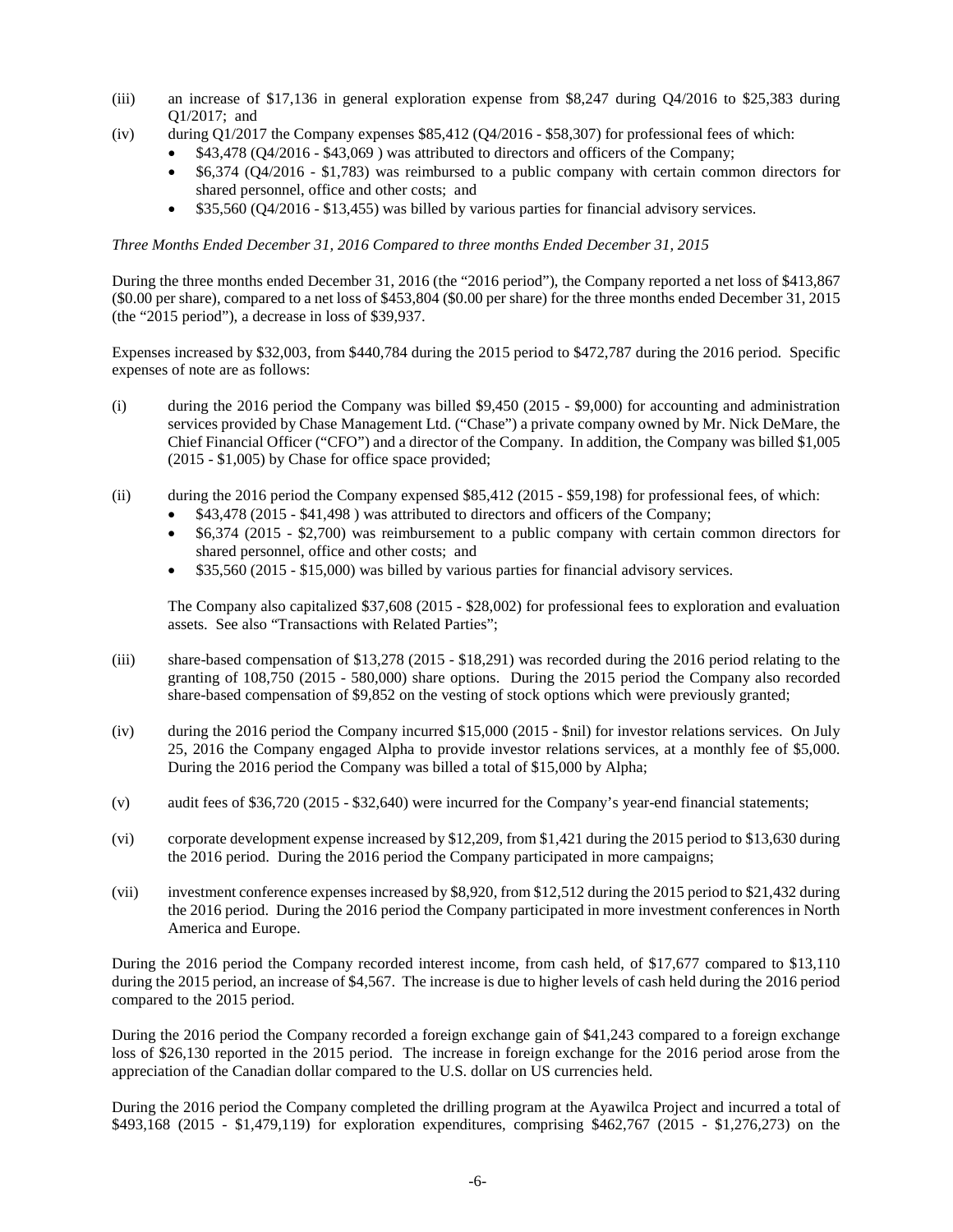- (iii) an increase of \$17,136 in general exploration expense from \$8,247 during Q4/2016 to \$25,383 during Q1/2017; and
- (iv) during Q1/2017 the Company expenses \$85,412 (Q4/2016 \$58,307) for professional fees of which:
	- \$43,478 (Q4/2016 \$43,069) was attributed to directors and officers of the Company;
	- \$6,374 (Q4/2016 \$1,783) was reimbursed to a public company with certain common directors for shared personnel, office and other costs; and
	- \$35,560 (Q4/2016 \$13,455) was billed by various parties for financial advisory services.

*Three Months Ended December 31, 2016 Compared to three months Ended December 31, 2015*

During the three months ended December 31, 2016 (the "2016 period"), the Company reported a net loss of \$413,867 (\$0.00 per share), compared to a net loss of \$453,804 (\$0.00 per share) for the three months ended December 31, 2015 (the "2015 period"), a decrease in loss of \$39,937.

Expenses increased by \$32,003, from \$440,784 during the 2015 period to \$472,787 during the 2016 period. Specific expenses of note are as follows:

- (i) during the 2016 period the Company was billed \$9,450 (2015 \$9,000) for accounting and administration services provided by Chase Management Ltd. ("Chase") a private company owned by Mr. Nick DeMare, the Chief Financial Officer ("CFO") and a director of the Company. In addition, the Company was billed \$1,005 (2015 - \$1,005) by Chase for office space provided;
- (ii) during the 2016 period the Company expensed \$85,412 (2015 \$59,198) for professional fees, of which:
	- \$43,478 (2015 \$41,498) was attributed to directors and officers of the Company;
	- \$6,374 (2015 \$2,700) was reimbursement to a public company with certain common directors for shared personnel, office and other costs; and
	- \$35,560 (2015 \$15,000) was billed by various parties for financial advisory services.

The Company also capitalized \$37,608 (2015 - \$28,002) for professional fees to exploration and evaluation assets. See also "Transactions with Related Parties";

- (iii) share-based compensation of \$13,278 (2015 \$18,291) was recorded during the 2016 period relating to the granting of 108,750 (2015 - 580,000) share options. During the 2015 period the Company also recorded share-based compensation of \$9,852 on the vesting of stock options which were previously granted;
- (iv) during the 2016 period the Company incurred \$15,000 (2015 \$nil) for investor relations services. On July 25, 2016 the Company engaged Alpha to provide investor relations services, at a monthly fee of \$5,000. During the 2016 period the Company was billed a total of \$15,000 by Alpha;
- (v) audit fees of \$36,720 (2015 \$32,640) were incurred for the Company's year-end financial statements;
- (vi) corporate development expense increased by \$12,209, from \$1,421 during the 2015 period to \$13,630 during the 2016 period. During the 2016 period the Company participated in more campaigns;
- (vii) investment conference expenses increased by \$8,920, from \$12,512 during the 2015 period to \$21,432 during the 2016 period. During the 2016 period the Company participated in more investment conferences in North America and Europe.

During the 2016 period the Company recorded interest income, from cash held, of \$17,677 compared to \$13,110 during the 2015 period, an increase of \$4,567. The increase is due to higher levels of cash held during the 2016 period compared to the 2015 period.

During the 2016 period the Company recorded a foreign exchange gain of \$41,243 compared to a foreign exchange loss of \$26,130 reported in the 2015 period. The increase in foreign exchange for the 2016 period arose from the appreciation of the Canadian dollar compared to the U.S. dollar on US currencies held.

During the 2016 period the Company completed the drilling program at the Ayawilca Project and incurred a total of \$493,168 (2015 - \$1,479,119) for exploration expenditures, comprising \$462,767 (2015 - \$1,276,273) on the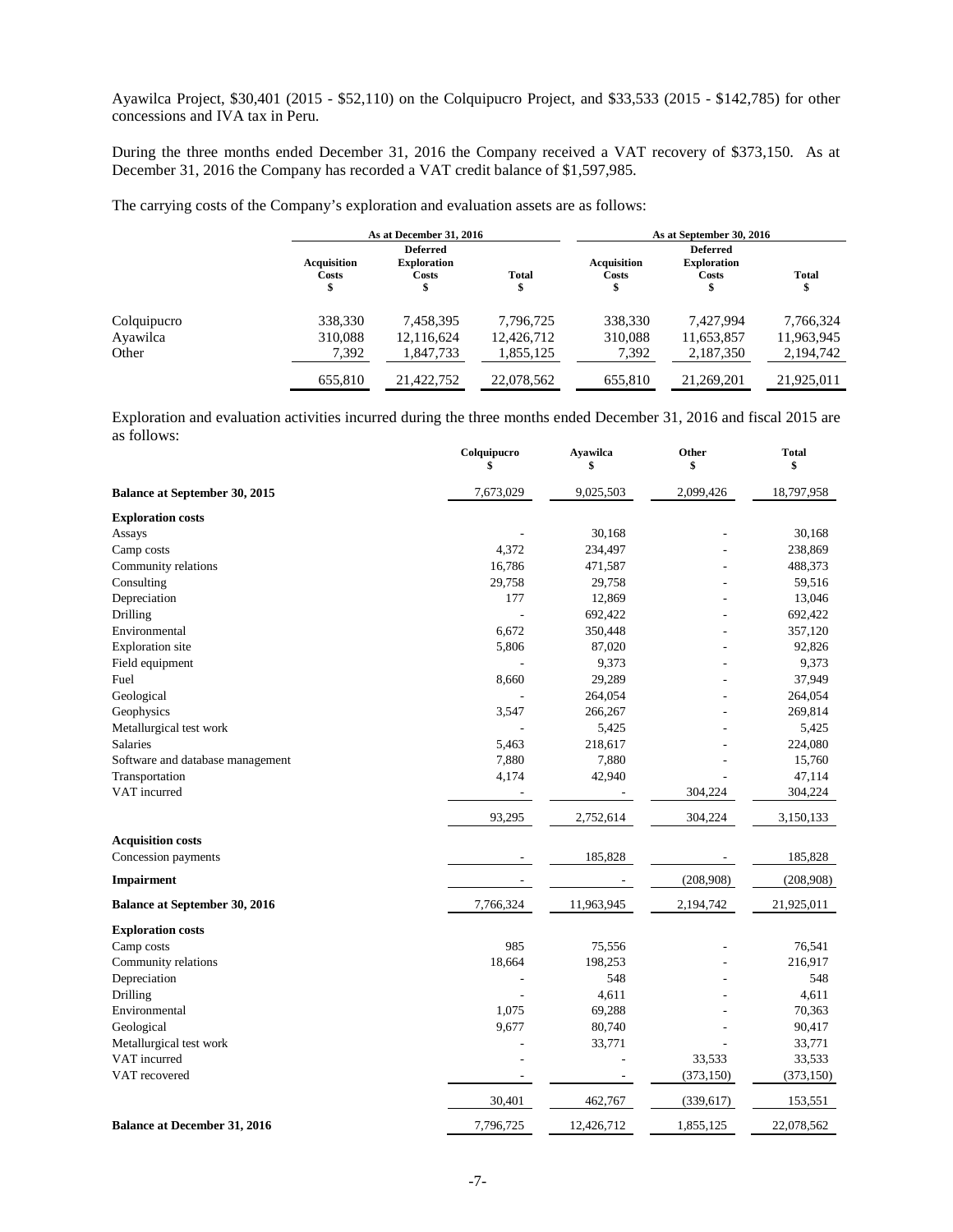Ayawilca Project, \$30,401 (2015 - \$52,110) on the Colquipucro Project, and \$33,533 (2015 - \$142,785) for other concessions and IVA tax in Peru.

During the three months ended December 31, 2016 the Company received a VAT recovery of \$373,150. As at December 31, 2016 the Company has recorded a VAT credit balance of \$1,597,985.

The carrying costs of the Company's exploration and evaluation assets are as follows:

|             |                             | As at December 31, 2016                        |              |                      | As at September 30, 2016                       |                    |
|-------------|-----------------------------|------------------------------------------------|--------------|----------------------|------------------------------------------------|--------------------|
|             | <b>Acquisition</b><br>Costs | <b>Deferred</b><br><b>Exploration</b><br>Costs | <b>Total</b> | Acquisition<br>Costs | <b>Deferred</b><br><b>Exploration</b><br>Costs | <b>Total</b><br>\$ |
| Colquipucro | 338,330                     | 7,458,395                                      | 7,796,725    | 338,330              | 7.427.994                                      | 7,766,324          |
| Ayawilca    | 310.088                     | 12,116,624                                     | 12,426,712   | 310.088              | 11,653,857                                     | 11,963,945         |
| Other       | 7,392                       | 1,847,733                                      | 1,855,125    | 7,392                | 2,187,350                                      | 2,194,742          |
|             | 655,810                     | 21.422.752                                     | 22,078,562   | 655.810              | 21.269.201                                     | 21.925.011         |

Exploration and evaluation activities incurred during the three months ended December 31, 2016 and fiscal 2015 are as follows:

|                                      | Colquipucro<br>\$        | Ayawilca<br>\$ | Other<br>\$ | <b>Total</b><br>\$ |
|--------------------------------------|--------------------------|----------------|-------------|--------------------|
| <b>Balance at September 30, 2015</b> | 7,673,029                | 9,025,503      | 2,099,426   | 18,797,958         |
| <b>Exploration costs</b>             |                          |                |             |                    |
| Assays                               |                          | 30,168         |             | 30,168             |
| Camp costs                           | 4,372                    | 234,497        |             | 238,869            |
| Community relations                  | 16,786                   | 471,587        |             | 488,373            |
| Consulting                           | 29,758                   | 29,758         |             | 59,516             |
| Depreciation                         | 177                      | 12,869         |             | 13,046             |
| Drilling                             |                          | 692,422        |             | 692,422            |
| Environmental                        | 6,672                    | 350,448        |             | 357,120            |
| <b>Exploration</b> site              | 5,806                    | 87,020         |             | 92,826             |
| Field equipment                      |                          | 9,373          |             | 9,373              |
| Fuel                                 | 8,660                    | 29,289         |             | 37,949             |
| Geological                           |                          | 264,054        |             | 264,054            |
| Geophysics                           | 3,547                    | 266,267        |             | 269,814            |
| Metallurgical test work              |                          | 5,425          |             | 5,425              |
| Salaries                             | 5,463                    | 218,617        |             | 224,080            |
| Software and database management     | 7,880                    | 7,880          |             | 15,760             |
| Transportation                       | 4,174                    | 42,940         |             | 47,114             |
| VAT incurred                         | $\overline{\phantom{a}}$ |                | 304,224     | 304,224            |
|                                      | 93,295                   | 2,752,614      | 304,224     | 3,150,133          |
| <b>Acquisition costs</b>             |                          |                |             |                    |
| Concession payments                  |                          | 185,828        |             | 185,828            |
| <b>Impairment</b>                    |                          |                | (208,908)   | (208,908)          |
| <b>Balance at September 30, 2016</b> | 7,766,324                | 11,963,945     | 2,194,742   | 21,925,011         |
| <b>Exploration costs</b>             |                          |                |             |                    |
| Camp costs                           | 985                      | 75,556         |             | 76,541             |
| Community relations                  | 18,664                   | 198,253        |             | 216,917            |
| Depreciation                         |                          | 548            |             | 548                |
| Drilling                             |                          | 4,611          |             | 4,611              |
| Environmental                        | 1,075                    | 69,288         |             | 70,363             |
| Geological                           | 9,677                    | 80,740         |             | 90,417             |
| Metallurgical test work              |                          | 33,771         |             | 33,771             |
| VAT incurred                         |                          |                | 33,533      | 33,533             |
| VAT recovered                        |                          |                | (373, 150)  | (373, 150)         |
|                                      | 30,401                   | 462,767        | (339, 617)  | 153,551            |
| <b>Balance at December 31, 2016</b>  | 7,796,725                | 12,426,712     | 1,855,125   | 22,078,562         |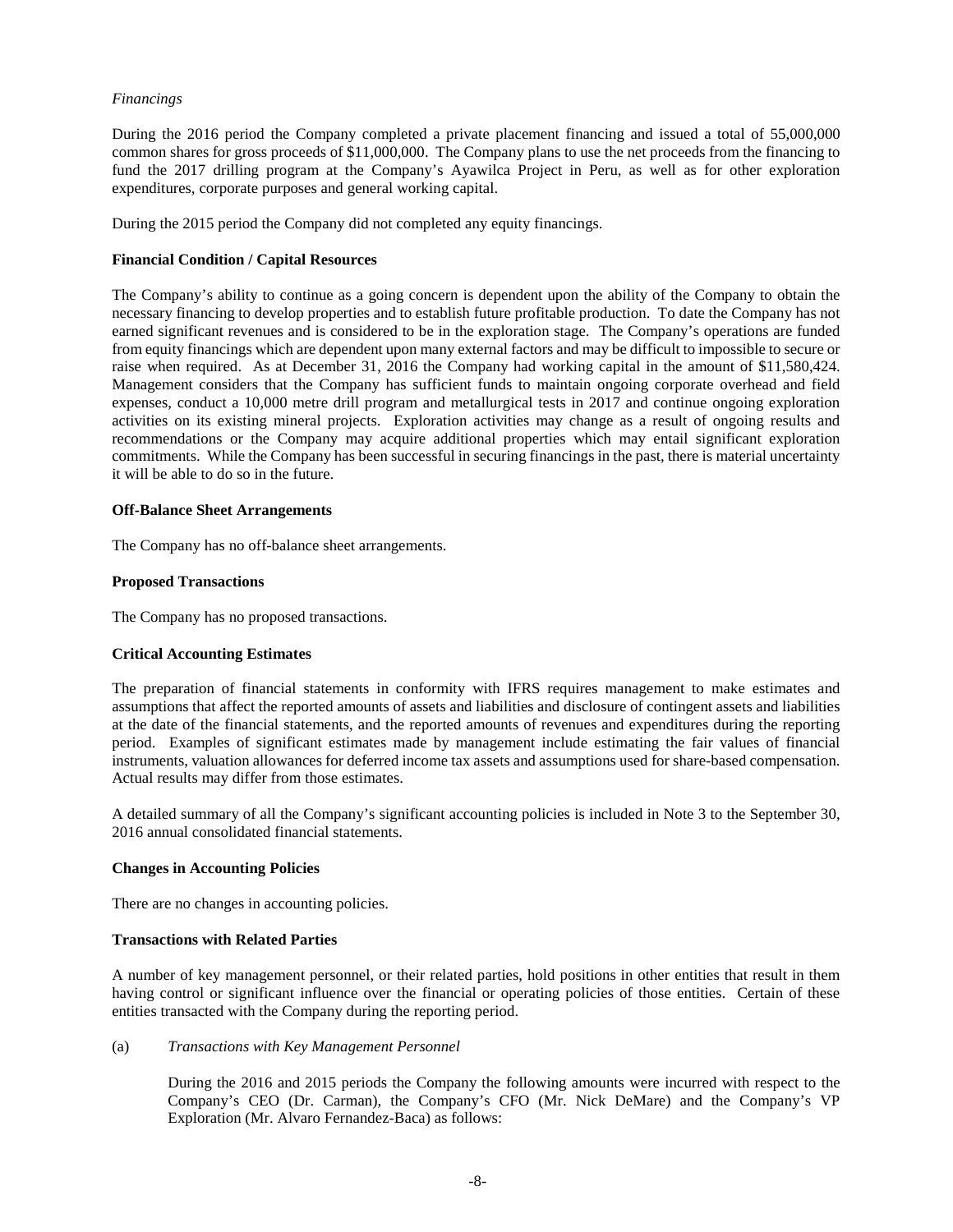## *Financings*

During the 2016 period the Company completed a private placement financing and issued a total of 55,000,000 common shares for gross proceeds of \$11,000,000. The Company plans to use the net proceeds from the financing to fund the 2017 drilling program at the Company's Ayawilca Project in Peru, as well as for other exploration expenditures, corporate purposes and general working capital.

During the 2015 period the Company did not completed any equity financings.

## **Financial Condition / Capital Resources**

The Company's ability to continue as a going concern is dependent upon the ability of the Company to obtain the necessary financing to develop properties and to establish future profitable production. To date the Company has not earned significant revenues and is considered to be in the exploration stage. The Company's operations are funded from equity financings which are dependent upon many external factors and may be difficult to impossible to secure or raise when required. As at December 31, 2016 the Company had working capital in the amount of \$11,580,424. Management considers that the Company has sufficient funds to maintain ongoing corporate overhead and field expenses, conduct a 10,000 metre drill program and metallurgical tests in 2017 and continue ongoing exploration activities on its existing mineral projects. Exploration activities may change as a result of ongoing results and recommendations or the Company may acquire additional properties which may entail significant exploration commitments. While the Company has been successful in securing financings in the past, there is material uncertainty it will be able to do so in the future.

## **Off-Balance Sheet Arrangements**

The Company has no off-balance sheet arrangements.

## **Proposed Transactions**

The Company has no proposed transactions.

# **Critical Accounting Estimates**

The preparation of financial statements in conformity with IFRS requires management to make estimates and assumptions that affect the reported amounts of assets and liabilities and disclosure of contingent assets and liabilities at the date of the financial statements, and the reported amounts of revenues and expenditures during the reporting period. Examples of significant estimates made by management include estimating the fair values of financial instruments, valuation allowances for deferred income tax assets and assumptions used for share-based compensation. Actual results may differ from those estimates.

A detailed summary of all the Company's significant accounting policies is included in Note 3 to the September 30, 2016 annual consolidated financial statements.

#### **Changes in Accounting Policies**

There are no changes in accounting policies.

#### **Transactions with Related Parties**

A number of key management personnel, or their related parties, hold positions in other entities that result in them having control or significant influence over the financial or operating policies of those entities. Certain of these entities transacted with the Company during the reporting period.

#### (a) *Transactions with Key Management Personnel*

During the 2016 and 2015 periods the Company the following amounts were incurred with respect to the Company's CEO (Dr. Carman), the Company's CFO (Mr. Nick DeMare) and the Company's VP Exploration (Mr. Alvaro Fernandez-Baca) as follows: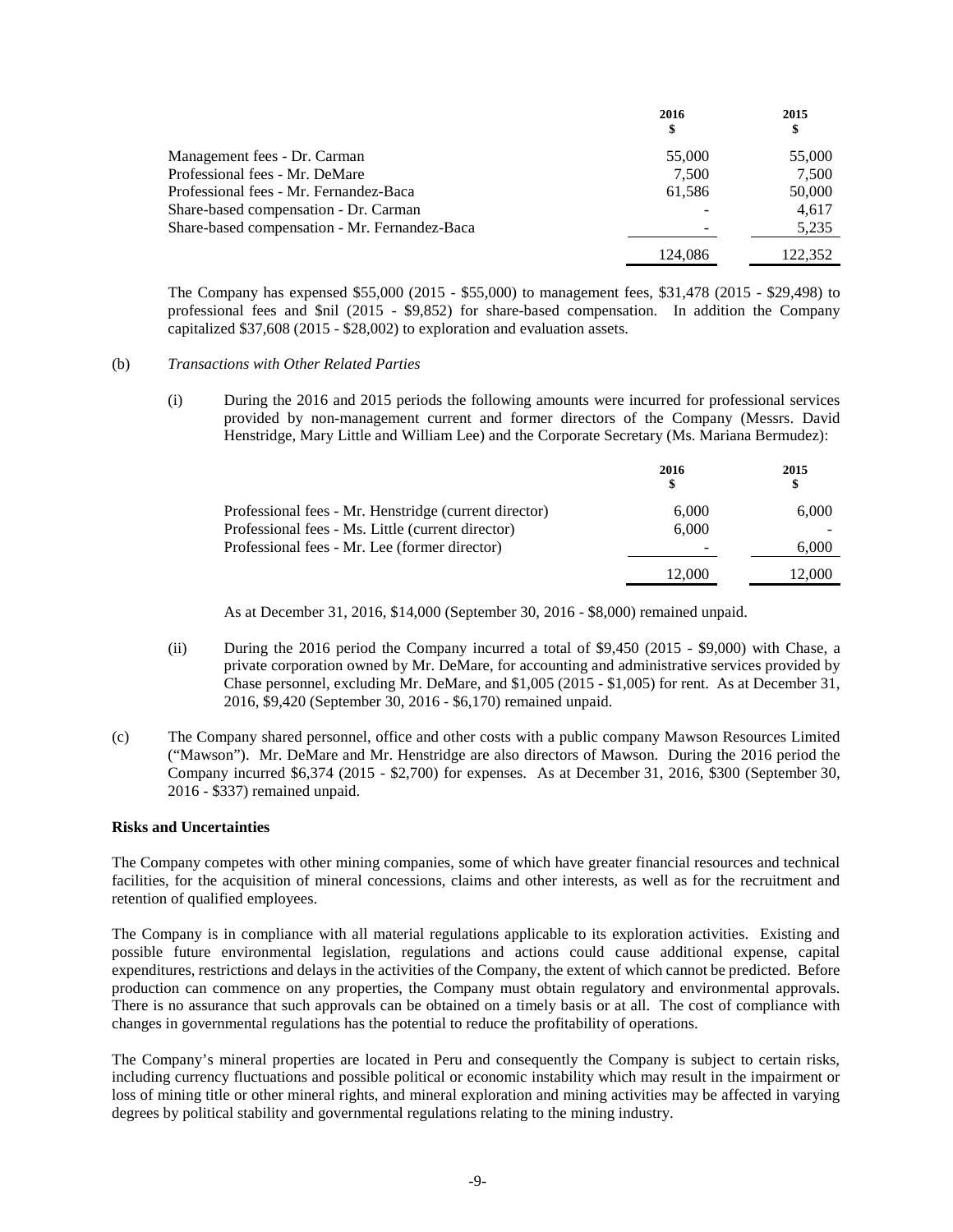|                                               | 2016<br>\$ | 2015<br>\$ |
|-----------------------------------------------|------------|------------|
| Management fees - Dr. Carman                  | 55,000     | 55,000     |
| Professional fees - Mr. DeMare                | 7,500      | 7,500      |
| Professional fees - Mr. Fernandez-Baca        | 61.586     | 50,000     |
| Share-based compensation - Dr. Carman         |            | 4,617      |
| Share-based compensation - Mr. Fernandez-Baca |            | 5,235      |
|                                               | 124,086    | 122.352    |

The Company has expensed \$55,000 (2015 - \$55,000) to management fees, \$31,478 (2015 - \$29,498) to professional fees and \$nil (2015 - \$9,852) for share-based compensation. In addition the Company capitalized \$37,608 (2015 - \$28,002) to exploration and evaluation assets.

#### (b) *Transactions with Other Related Parties*

(i) During the 2016 and 2015 periods the following amounts were incurred for professional services provided by non-management current and former directors of the Company (Messrs. David Henstridge, Mary Little and William Lee) and the Corporate Secretary (Ms. Mariana Bermudez):

|                                                       | 2016<br>\$ | 2015   |
|-------------------------------------------------------|------------|--------|
| Professional fees - Mr. Henstridge (current director) | 6.000      | 6,000  |
| Professional fees - Ms. Little (current director)     | 6.000      |        |
| Professional fees - Mr. Lee (former director)         | -          | 6,000  |
|                                                       | 12.000     | 12.000 |

As at December 31, 2016, \$14,000 (September 30, 2016 - \$8,000) remained unpaid.

- (ii) During the 2016 period the Company incurred a total of \$9,450 (2015 \$9,000) with Chase, a private corporation owned by Mr. DeMare, for accounting and administrative services provided by Chase personnel, excluding Mr. DeMare, and \$1,005 (2015 - \$1,005) for rent. As at December 31, 2016, \$9,420 (September 30, 2016 - \$6,170) remained unpaid.
- (c) The Company shared personnel, office and other costs with a public company Mawson Resources Limited ("Mawson"). Mr. DeMare and Mr. Henstridge are also directors of Mawson. During the 2016 period the Company incurred \$6,374 (2015 - \$2,700) for expenses. As at December 31, 2016, \$300 (September 30, 2016 - \$337) remained unpaid.

#### **Risks and Uncertainties**

The Company competes with other mining companies, some of which have greater financial resources and technical facilities, for the acquisition of mineral concessions, claims and other interests, as well as for the recruitment and retention of qualified employees.

The Company is in compliance with all material regulations applicable to its exploration activities. Existing and possible future environmental legislation, regulations and actions could cause additional expense, capital expenditures, restrictions and delays in the activities of the Company, the extent of which cannot be predicted. Before production can commence on any properties, the Company must obtain regulatory and environmental approvals. There is no assurance that such approvals can be obtained on a timely basis or at all. The cost of compliance with changes in governmental regulations has the potential to reduce the profitability of operations.

The Company's mineral properties are located in Peru and consequently the Company is subject to certain risks, including currency fluctuations and possible political or economic instability which may result in the impairment or loss of mining title or other mineral rights, and mineral exploration and mining activities may be affected in varying degrees by political stability and governmental regulations relating to the mining industry.